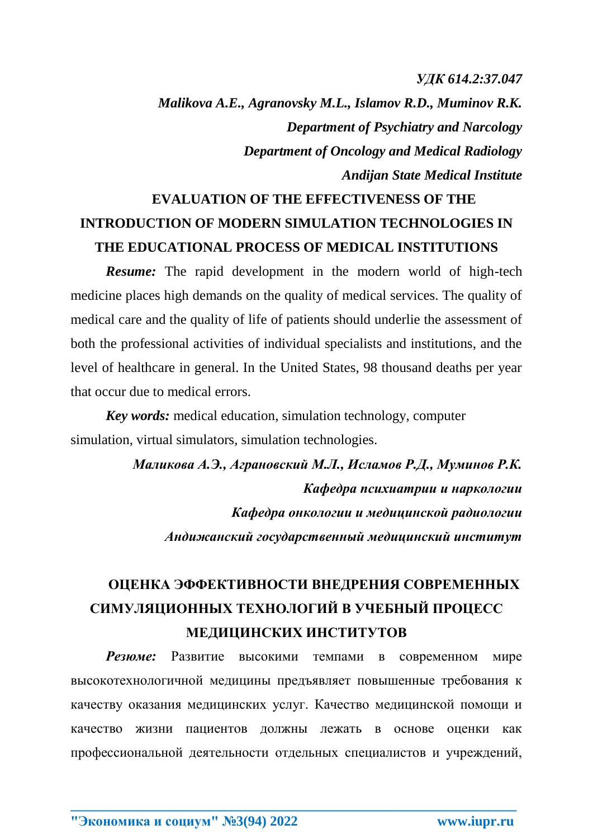## *УДК 614.2:37.047*

*Malikova A.E., Agranovsky M.L., Islamov R.D., Muminov R.K. Department of Psychiatry and Narcology Department of Oncology and Medical Radiology Andijan State Medical Institute*

## **EVALUATION OF THE EFFECTIVENESS OF THE INTRODUCTION OF MODERN SIMULATION TECHNOLOGIES IN THE EDUCATIONAL PROCESS OF MEDICAL INSTITUTIONS**

*Resume:* The rapid development in the modern world of high-tech medicine places high demands on the quality of medical services. The quality of medical care and the quality of life of patients should underlie the assessment of both the professional activities of individual specialists and institutions, and the level of healthcare in general. In the United States, 98 thousand deaths per year that occur due to medical errors.

*Key words:* medical education, simulation technology, computer simulation, virtual simulators, simulation technologies.

> *Маликова А.Э., Аграновский М.Л., Исламов Р.Д., Муминов Р.К. Кафедра психиатрии и наркологии Кафедра онкологии и медицинской радиологии Андижанский государственный медицинский институт*

## **ОЦЕНКА ЭФФЕКТИВНОСТИ ВНЕДРЕНИЯ СОВРЕМЕННЫХ СИМУЛЯЦИОННЫХ ТЕХНОЛОГИЙ В УЧЕБНЫЙ ПРОЦЕСС МЕДИЦИНСКИХ ИНСТИТУТОВ**

*Резюме:* Развитие высокими темпами в современном мире высокотехнологичной медицины предъявляет повышенные требования к качеству оказания медицинских услуг. Качество медицинской помощи и качество жизни пациентов должны лежать в основе оценки как профессиональной деятельности отдельных специалистов и учреждений,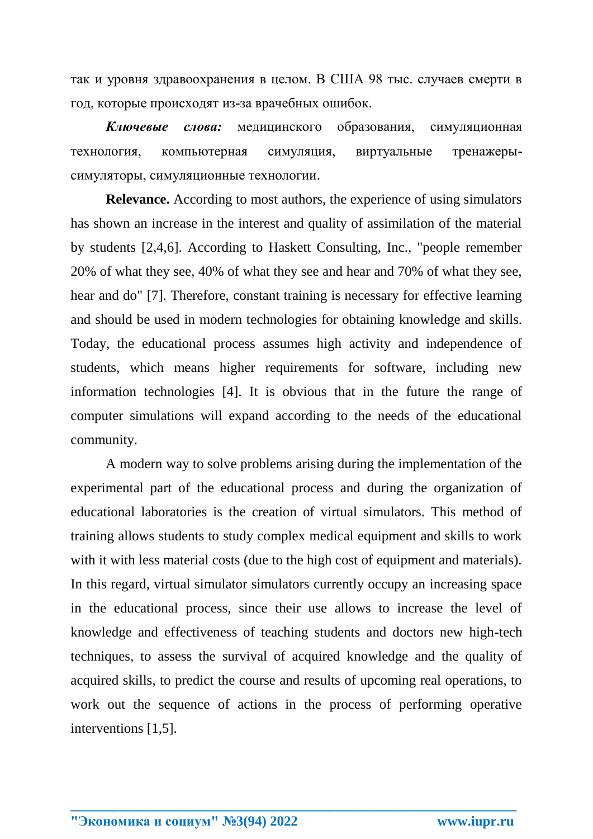так и уровня здравоохранения в целом. В США 98 тыс. случаев смерти в год, которые происходят из-за врачебных ошибок.

*Ключевые слова:* медицинского образования, симуляционная технология, компьютерная симуляция, виртуальные тренажерысимуляторы, симуляционные технологии.

**Relevance.** According to most authors, the experience of using simulators has shown an increase in the interest and quality of assimilation of the material by students [2,4,6]. According to Haskett Consulting, Inc., "people remember 20% of what they see, 40% of what they see and hear and 70% of what they see, hear and do" [7]. Therefore, constant training is necessary for effective learning and should be used in modern technologies for obtaining knowledge and skills. Today, the educational process assumes high activity and independence of students, which means higher requirements for software, including new information technologies [4]. It is obvious that in the future the range of computer simulations will expand according to the needs of the educational community.

A modern way to solve problems arising during the implementation of the experimental part of the educational process and during the organization of educational laboratories is the creation of virtual simulators. This method of training allows students to study complex medical equipment and skills to work with it with less material costs (due to the high cost of equipment and materials). In this regard, virtual simulator simulators currently occupy an increasing space in the educational process, since their use allows to increase the level of knowledge and effectiveness of teaching students and doctors new high-tech techniques, to assess the survival of acquired knowledge and the quality of acquired skills, to predict the course and results of upcoming real operations, to work out the sequence of actions in the process of performing operative interventions [1,5].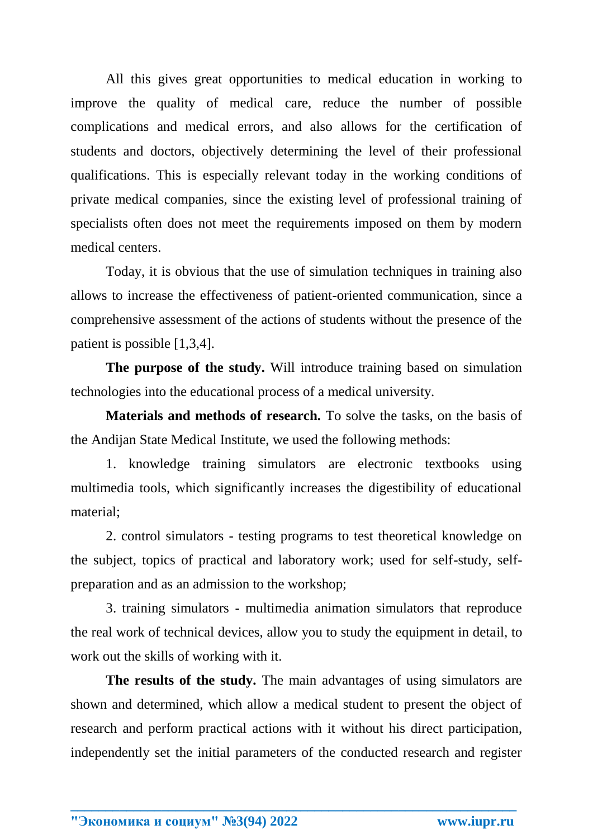All this gives great opportunities to medical education in working to improve the quality of medical care, reduce the number of possible complications and medical errors, and also allows for the certification of students and doctors, objectively determining the level of their professional qualifications. This is especially relevant today in the working conditions of private medical companies, since the existing level of professional training of specialists often does not meet the requirements imposed on them by modern medical centers.

Today, it is obvious that the use of simulation techniques in training also allows to increase the effectiveness of patient-oriented communication, since a comprehensive assessment of the actions of students without the presence of the patient is possible [1,3,4].

**The purpose of the study.** Will introduce training based on simulation technologies into the educational process of a medical university.

**Materials and methods of research.** To solve the tasks, on the basis of the Andijan State Medical Institute, we used the following methods:

1. knowledge training simulators are electronic textbooks using multimedia tools, which significantly increases the digestibility of educational material;

2. control simulators - testing programs to test theoretical knowledge on the subject, topics of practical and laboratory work; used for self-study, selfpreparation and as an admission to the workshop;

3. training simulators - multimedia animation simulators that reproduce the real work of technical devices, allow you to study the equipment in detail, to work out the skills of working with it.

**The results of the study.** The main advantages of using simulators are shown and determined, which allow a medical student to present the object of research and perform practical actions with it without his direct participation, independently set the initial parameters of the conducted research and register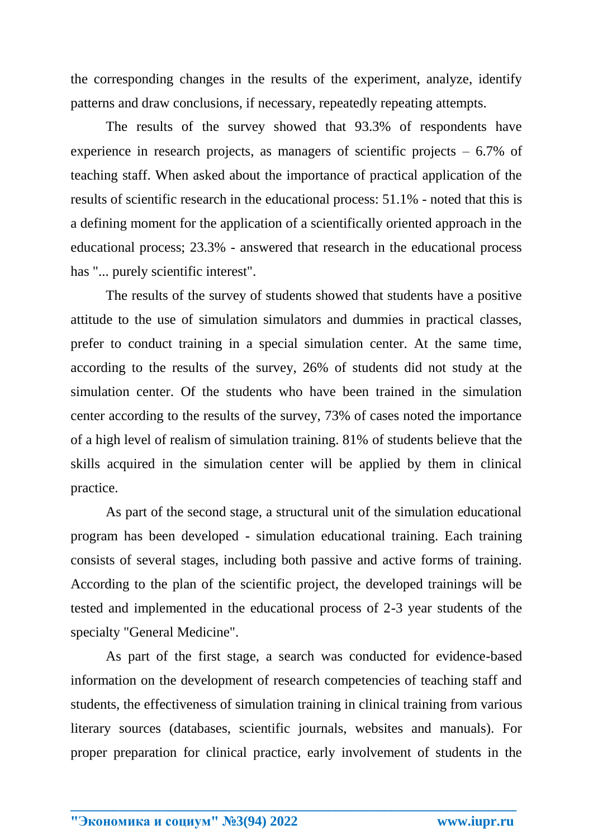the corresponding changes in the results of the experiment, analyze, identify patterns and draw conclusions, if necessary, repeatedly repeating attempts.

The results of the survey showed that 93.3% of respondents have experience in research projects, as managers of scientific projects  $-6.7\%$  of teaching staff. When asked about the importance of practical application of the results of scientific research in the educational process: 51.1% - noted that this is a defining moment for the application of a scientifically oriented approach in the educational process; 23.3% - answered that research in the educational process has "... purely scientific interest".

The results of the survey of students showed that students have a positive attitude to the use of simulation simulators and dummies in practical classes, prefer to conduct training in a special simulation center. At the same time, according to the results of the survey, 26% of students did not study at the simulation center. Of the students who have been trained in the simulation center according to the results of the survey, 73% of cases noted the importance of a high level of realism of simulation training. 81% of students believe that the skills acquired in the simulation center will be applied by them in clinical practice.

As part of the second stage, a structural unit of the simulation educational program has been developed - simulation educational training. Each training consists of several stages, including both passive and active forms of training. According to the plan of the scientific project, the developed trainings will be tested and implemented in the educational process of 2-3 year students of the specialty "General Medicine".

As part of the first stage, a search was conducted for evidence-based information on the development of research competencies of teaching staff and students, the effectiveness of simulation training in clinical training from various literary sources (databases, scientific journals, websites and manuals). For proper preparation for clinical practice, early involvement of students in the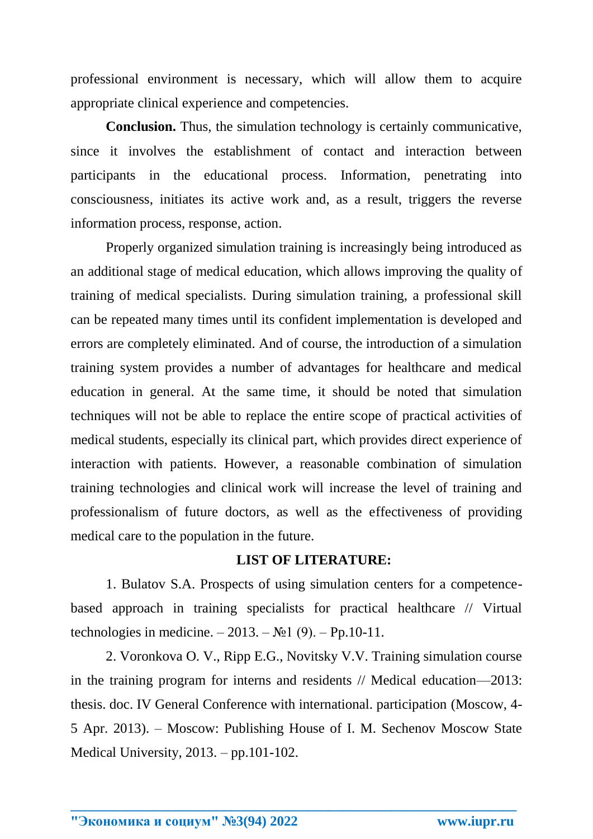professional environment is necessary, which will allow them to acquire appropriate clinical experience and competencies.

**Conclusion.** Thus, the simulation technology is certainly communicative, since it involves the establishment of contact and interaction between participants in the educational process. Information, penetrating into consciousness, initiates its active work and, as a result, triggers the reverse information process, response, action.

Properly organized simulation training is increasingly being introduced as an additional stage of medical education, which allows improving the quality of training of medical specialists. During simulation training, a professional skill can be repeated many times until its confident implementation is developed and errors are completely eliminated. And of course, the introduction of a simulation training system provides a number of advantages for healthcare and medical education in general. At the same time, it should be noted that simulation techniques will not be able to replace the entire scope of practical activities of medical students, especially its clinical part, which provides direct experience of interaction with patients. However, a reasonable combination of simulation training technologies and clinical work will increase the level of training and professionalism of future doctors, as well as the effectiveness of providing medical care to the population in the future.

## **LIST OF LITERATURE:**

1. Bulatov S.A. Prospects of using simulation centers for a competencebased approach in training specialists for practical healthcare // Virtual technologies in medicine. – 2013. – №1 (9). – Pp.10-11.

2. Voronkova O. V., Ripp E.G., Novitsky V.V. Training simulation course in the training program for interns and residents // Medical education—2013: thesis. doc. IV General Conference with international. participation (Moscow, 4- 5 Apr. 2013). – Moscow: Publishing House of I. M. Sechenov Moscow State Medical University, 2013. – pp.101-102.